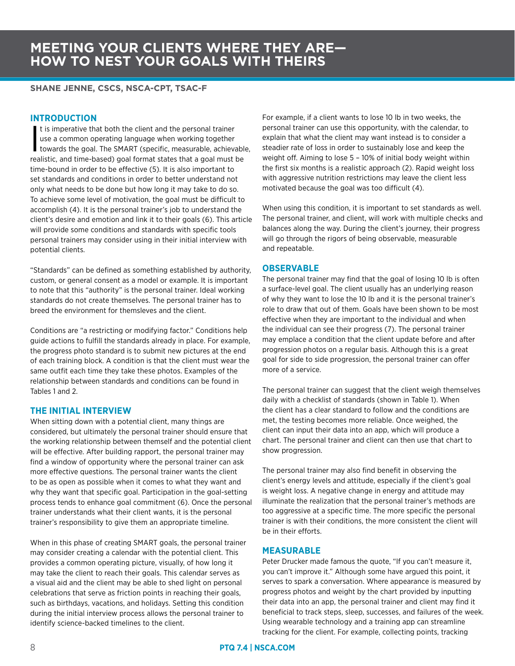### **MEETING YOUR CLIENTS WHERE THEY ARE— HOW TO NEST YOUR GOALS WITH THEIRS**

#### **SHANE JENNE, CSCS, NSCA-CPT, TSAC-F**

#### **INTRODUCTION**

It is imperative that both the client and the personal trainer<br>use a common operating language when working together<br>towards the goal. The SMART (specific, measurable, achievable,<br>realistic, and time based) goal format sta t is imperative that both the client and the personal trainer use a common operating language when working together realistic, and time-based) goal format states that a goal must be time-bound in order to be effective (5). It is also important to set standards and conditions in order to better understand not only what needs to be done but how long it may take to do so. To achieve some level of motivation, the goal must be difficult to accomplish (4). It is the personal trainer's job to understand the client's desire and emotion and link it to their goals (6). This article will provide some conditions and standards with specific tools personal trainers may consider using in their initial interview with potential clients.

"Standards" can be defined as something established by authority, custom, or general consent as a model or example. It is important to note that this "authority" is the personal trainer. Ideal working standards do not create themselves. The personal trainer has to breed the environment for themsleves and the client.

Conditions are "a restricting or modifying factor." Conditions help guide actions to fulfill the standards already in place. For example, the progress photo standard is to submit new pictures at the end of each training block. A condition is that the client must wear the same outfit each time they take these photos. Examples of the relationship between standards and conditions can be found in Tables 1 and 2.

#### **THE INITIAL INTERVIEW**

When sitting down with a potential client, many things are considered, but ultimately the personal trainer should ensure that the working relationship between themself and the potential client will be effective. After building rapport, the personal trainer may find a window of opportunity where the personal trainer can ask more effective questions. The personal trainer wants the client to be as open as possible when it comes to what they want and why they want that specific goal. Participation in the goal-setting process tends to enhance goal commitment (6). Once the personal trainer understands what their client wants, it is the personal trainer's responsibility to give them an appropriate timeline.

When in this phase of creating SMART goals, the personal trainer may consider creating a calendar with the potential client. This provides a common operating picture, visually, of how long it may take the client to reach their goals. This calendar serves as a visual aid and the client may be able to shed light on personal celebrations that serve as friction points in reaching their goals, such as birthdays, vacations, and holidays. Setting this condition during the initial interview process allows the personal trainer to identify science-backed timelines to the client.

For example, if a client wants to lose 10 lb in two weeks, the personal trainer can use this opportunity, with the calendar, to explain that what the client may want instead is to consider a steadier rate of loss in order to sustainably lose and keep the weight off. Aiming to lose 5 – 10% of initial body weight within the first six months is a realistic approach (2). Rapid weight loss with aggressive nutrition restrictions may leave the client less motivated because the goal was too difficult (4).

When using this condition, it is important to set standards as well. The personal trainer, and client, will work with multiple checks and balances along the way. During the client's journey, their progress will go through the rigors of being observable, measurable and repeatable.

#### **OBSERVABLE**

The personal trainer may find that the goal of losing 10 lb is often a surface-level goal. The client usually has an underlying reason of why they want to lose the 10 lb and it is the personal trainer's role to draw that out of them. Goals have been shown to be most effective when they are important to the individual and when the individual can see their progress (7). The personal trainer may emplace a condition that the client update before and after progression photos on a regular basis. Although this is a great goal for side to side progression, the personal trainer can offer more of a service.

The personal trainer can suggest that the client weigh themselves daily with a checklist of standards (shown in Table 1). When the client has a clear standard to follow and the conditions are met, the testing becomes more reliable. Once weighed, the client can input their data into an app, which will produce a chart. The personal trainer and client can then use that chart to show progression.

The personal trainer may also find benefit in observing the client's energy levels and attitude, especially if the client's goal is weight loss. A negative change in energy and attitude may illuminate the realization that the personal trainer's methods are too aggressive at a specific time. The more specific the personal trainer is with their conditions, the more consistent the client will be in their efforts.

#### **MEASURABLE**

Peter Drucker made famous the quote, "If you can't measure it, you can't improve it." Although some have argued this point, it serves to spark a conversation. Where appearance is measured by progress photos and weight by the chart provided by inputting their data into an app, the personal trainer and client may find it beneficial to track steps, sleep, successes, and failures of the week. Using wearable technology and a training app can streamline tracking for the client. For example, collecting points, tracking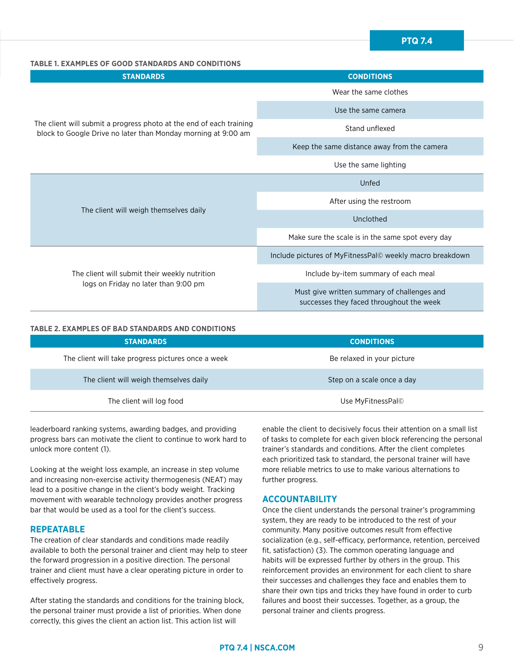#### **TABLE 1. EXAMPLES OF GOOD STANDARDS AND CONDITIONS**

| <b>STANDARDS</b>                                                                                                                     | <b>CONDITIONS</b>                                                                       |
|--------------------------------------------------------------------------------------------------------------------------------------|-----------------------------------------------------------------------------------------|
| The client will submit a progress photo at the end of each training<br>block to Google Drive no later than Monday morning at 9:00 am | Wear the same clothes                                                                   |
|                                                                                                                                      | Use the same camera                                                                     |
|                                                                                                                                      | Stand unflexed                                                                          |
|                                                                                                                                      | Keep the same distance away from the camera                                             |
|                                                                                                                                      | Use the same lighting                                                                   |
| The client will weigh themselves daily                                                                                               | Unfed                                                                                   |
|                                                                                                                                      | After using the restroom                                                                |
|                                                                                                                                      | Unclothed                                                                               |
|                                                                                                                                      | Make sure the scale is in the same spot every day                                       |
| The client will submit their weekly nutrition<br>logs on Friday no later than 9:00 pm                                                | Include pictures of MyFitnessPal© weekly macro breakdown                                |
|                                                                                                                                      | Include by-item summary of each meal                                                    |
|                                                                                                                                      | Must give written summary of challenges and<br>successes they faced throughout the week |

#### **TABLE 2. EXAMPLES OF BAD STANDARDS AND CONDITIONS**

| <b>STANDARDS</b>                                   | <b>CONDITIONS</b>          |
|----------------------------------------------------|----------------------------|
| The client will take progress pictures once a week | Be relaxed in your picture |
| The client will weigh themselves daily             | Step on a scale once a day |
| The client will log food                           | Use MyFitnessPal©          |

leaderboard ranking systems, awarding badges, and providing progress bars can motivate the client to continue to work hard to unlock more content (1).

Looking at the weight loss example, an increase in step volume and increasing non-exercise activity thermogenesis (NEAT) may lead to a positive change in the client's body weight. Tracking movement with wearable technology provides another progress bar that would be used as a tool for the client's success.

#### **REPEATABLE**

The creation of clear standards and conditions made readily available to both the personal trainer and client may help to steer the forward progression in a positive direction. The personal trainer and client must have a clear operating picture in order to effectively progress.

After stating the standards and conditions for the training block, the personal trainer must provide a list of priorities. When done correctly, this gives the client an action list. This action list will

enable the client to decisively focus their attention on a small list of tasks to complete for each given block referencing the personal trainer's standards and conditions. After the client completes each prioritized task to standard, the personal trainer will have more reliable metrics to use to make various alternations to further progress.

#### **ACCOUNTABILITY**

Once the client understands the personal trainer's programming system, they are ready to be introduced to the rest of your community. Many positive outcomes result from effective socialization (e.g., self-efficacy, performance, retention, perceived fit, satisfaction) (3). The common operating language and habits will be expressed further by others in the group. This reinforcement provides an environment for each client to share their successes and challenges they face and enables them to share their own tips and tricks they have found in order to curb failures and boost their successes. Together, as a group, the personal trainer and clients progress.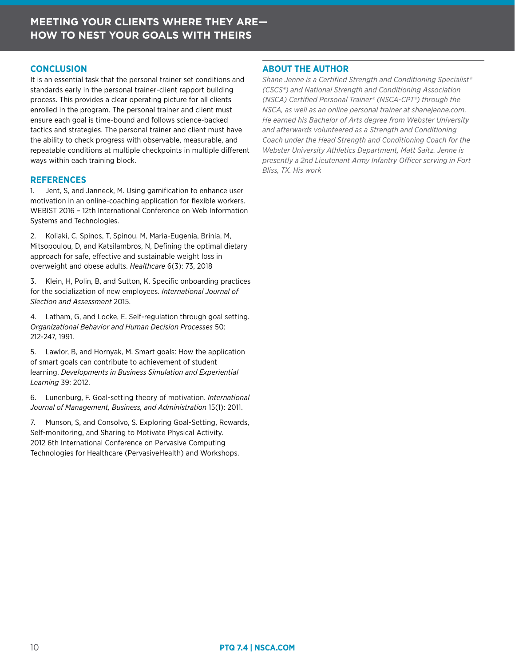#### **CONCLUSION**

It is an essential task that the personal trainer set conditions and standards early in the personal trainer-client rapport building process. This provides a clear operating picture for all clients enrolled in the program. The personal trainer and client must ensure each goal is time-bound and follows science-backed tactics and strategies. The personal trainer and client must have the ability to check progress with observable, measurable, and repeatable conditions at multiple checkpoints in multiple different ways within each training block.

#### **REFERENCES**

1. Jent, S, and Janneck, M. Using gamification to enhance user motivation in an online-coaching application for flexible workers. WEBIST 2016 – 12th International Conference on Web Information Systems and Technologies.

2. Koliaki, C, Spinos, T, Spinou, M, Maria-Eugenia, Brinia, M, Mitsopoulou, D, and Katsilambros, N, Defining the optimal dietary approach for safe, effective and sustainable weight loss in overweight and obese adults. *Healthcare* 6(3): 73, 2018

3. Klein, H, Polin, B, and Sutton, K. Specific onboarding practices for the socialization of new employees. *International Journal of Slection and Assessment* 2015.

4. Latham, G, and Locke, E. Self-regulation through goal setting. *Organizational Behavior and Human Decision Processes* 50: 212-247, 1991.

5. Lawlor, B, and Hornyak, M. Smart goals: How the application of smart goals can contribute to achievement of student learning. *Developments in Business Simulation and Experiential Learning* 39: 2012.

6. Lunenburg, F. Goal-setting theory of motivation. *International Journal of Management, Business, and Administration* 15(1): 2011.

7. Munson, S, and Consolvo, S. Exploring Goal-Setting, Rewards, Self-monitoring, and Sharing to Motivate Physical Activity. 2012 6th International Conference on Pervasive Computing Technologies for Healthcare (PervasiveHealth) and Workshops.

#### **ABOUT THE AUTHOR**

*Shane Jenne is a Certified Strength and Conditioning Specialist® (CSCS®) and National Strength and Conditioning Association (NSCA) Certified Personal Trainer® (NSCA-CPT®) through the NSCA, as well as an online personal trainer at shanejenne.com. He earned his Bachelor of Arts degree from Webster University and afterwards volunteered as a Strength and Conditioning Coach under the Head Strength and Conditioning Coach for the Webster University Athletics Department, Matt Saitz. Jenne is presently a 2nd Lieutenant Army Infantry Officer serving in Fort Bliss, TX. His work*